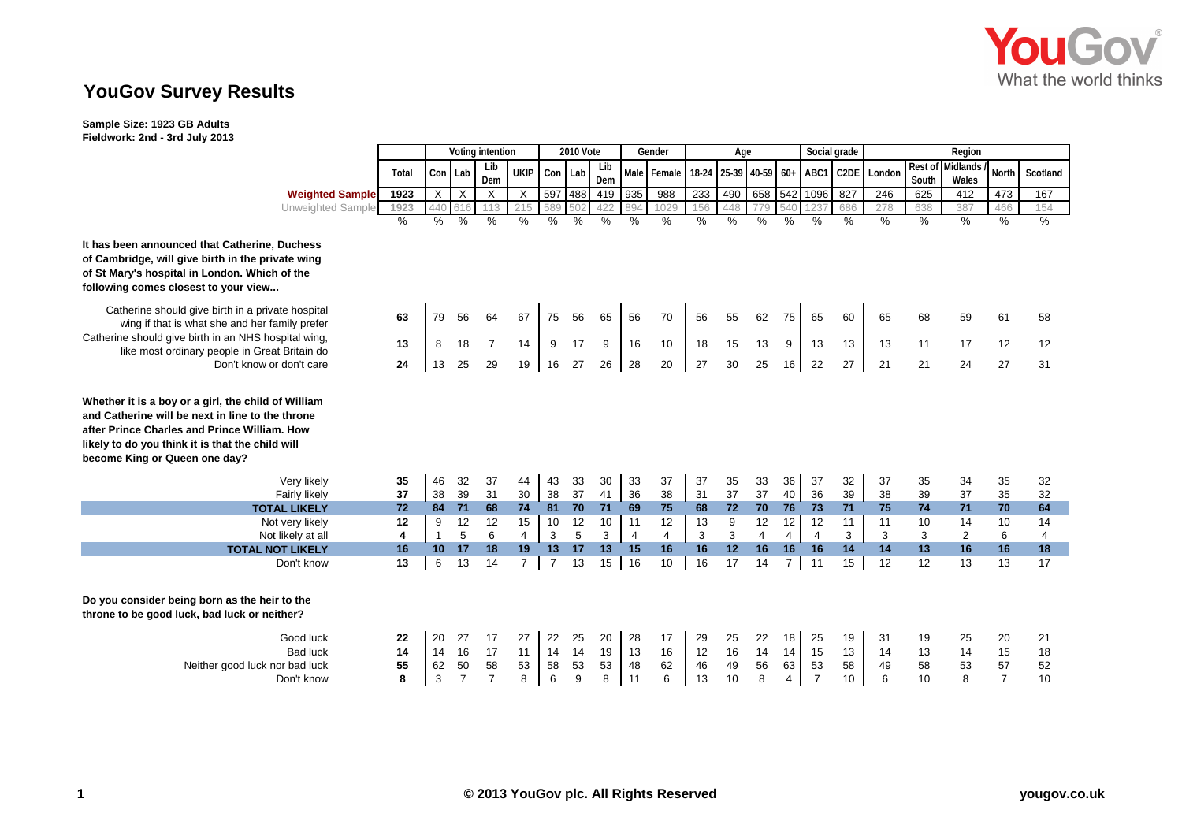

## **YouGov Survey Results**

**Sample Size: 1923 GB Adults Fieldwork: 2nd - 3rd July 2013**

|                                                                                                                                                                                                                                              |                     | Voting intention     |                                  |                                  |                      | 2010 Vote            |                     |                     | Gender               |                     | Age                  |                      |                     |                     | Social grade                     |                      | Region              |                      |                     |                                  |                      |
|----------------------------------------------------------------------------------------------------------------------------------------------------------------------------------------------------------------------------------------------|---------------------|----------------------|----------------------------------|----------------------------------|----------------------|----------------------|---------------------|---------------------|----------------------|---------------------|----------------------|----------------------|---------------------|---------------------|----------------------------------|----------------------|---------------------|----------------------|---------------------|----------------------------------|----------------------|
|                                                                                                                                                                                                                                              |                     |                      |                                  | Lib                              | UKIP                 |                      |                     | Lib                 |                      | Male Female         | $18-24$              | 25-39 40-59 60+      |                     |                     | ABC1                             |                      | London              | Rest of              | <b>Midlands</b>     | <b>North</b>                     | Scotland             |
|                                                                                                                                                                                                                                              | Total               | Con Lab              |                                  | Dem                              |                      | Con Lab              |                     | Dem                 |                      |                     |                      |                      |                     |                     |                                  | C <sub>2</sub> DE    |                     | South                | Wales               |                                  |                      |
| <b>Weighted Sample</b>                                                                                                                                                                                                                       | 1923                | $\times$             | X                                | X                                | $\times$             | 597                  | 488                 | 419                 | 935                  | 988                 | 233                  | 490                  | 658                 | 542                 | 1096                             | 827                  | 246                 | 625                  | 412                 | 473                              | 167                  |
| Unweighted Sample                                                                                                                                                                                                                            | 1923                | 440                  | 616                              | 113                              | 215                  | 589                  | 502                 | 422                 | 894                  | 1029                | 156                  | 448                  | 779                 |                     |                                  | 686                  | 278                 | 638                  | 387                 | 466                              | 154                  |
|                                                                                                                                                                                                                                              | $\frac{0}{0}$       | $\%$                 | $\%$                             | %                                | $\%$                 | $\%$                 | %                   | $\%$                | %                    | %                   | $\frac{1}{2}$        | $\%$                 | $\%$                | $\%$                | %                                | $\%$                 | $\frac{0}{0}$       | $\%$                 | $\frac{9}{6}$       | %                                | %                    |
| It has been announced that Catherine, Duchess<br>of Cambridge, will give birth in the private wing<br>of St Mary's hospital in London. Which of the<br>following comes closest to your view                                                  |                     |                      |                                  |                                  |                      |                      |                     |                     |                      |                     |                      |                      |                     |                     |                                  |                      |                     |                      |                     |                                  |                      |
| Catherine should give birth in a private hospital<br>wing if that is what she and her family prefer<br>Catherine should give birth in an NHS hospital wing,<br>like most ordinary people in Great Britain do<br>Don't know or don't care     | 63                  | 79                   | 56                               | 64                               | 67                   | 75                   | 56                  | 65                  | 56                   | 70                  | 56                   | 55                   | 62                  | 75                  | 65                               | 60                   | 65                  | 68                   | 59                  | 61                               | 58                   |
|                                                                                                                                                                                                                                              | 13                  | 8                    | 18                               | $\overline{7}$                   | 14                   | 9                    | 17                  | 9                   | 16                   | 10                  | 18                   | 15                   | 13                  | 9                   | 13                               | 13                   | 13                  | 11                   | 17                  | 12                               | 12                   |
|                                                                                                                                                                                                                                              | 24                  | 13                   | 25                               | 29                               | 19                   | 16                   | 27                  | 26                  | 28                   | 20                  | 27                   | 30                   | 25                  | 16                  | 22                               | 27                   | 21                  | 21                   | 24                  | 27                               | 31                   |
| Whether it is a boy or a girl, the child of William<br>and Catherine will be next in line to the throne<br>after Prince Charles and Prince William. How<br>likely to do you think it is that the child will<br>become King or Queen one day? |                     |                      |                                  |                                  |                      |                      |                     |                     |                      |                     |                      |                      |                     |                     |                                  |                      |                     |                      |                     |                                  |                      |
| Very likely                                                                                                                                                                                                                                  | 35                  | 46                   | 32                               | 37                               | 44                   | 43                   | 33                  | 30                  | 33                   | 37                  | 37                   | 35                   | 33                  | 36                  | 37                               | 32                   | 37                  | 35                   | 34                  | 35                               | 32                   |
| <b>Fairly likely</b>                                                                                                                                                                                                                         | 37                  | 38                   | 39                               | 31                               | 30                   | 38                   | 37                  | 41                  | 36                   | 38                  | 31                   | 37                   | 37                  | 40                  | 36                               | 39                   | 38                  | 39                   | 37                  | 35                               | 32                   |
| <b>TOTAL LIKELY</b>                                                                                                                                                                                                                          | 72                  | 84                   | 71                               | 68                               | 74                   | 81                   | 70                  | 71                  | 69                   | 75                  | 68                   | 72                   | 70                  | 76                  | 73                               | 71                   | 75                  | 74                   | 71                  | 70                               | 64                   |
| Not very likely                                                                                                                                                                                                                              | 12                  | 9                    | 12                               | 12                               | 15                   | 10                   | 12                  | 10                  | 11                   | 12                  | 13                   | 9                    | 12                  | 12                  | 12                               | 11                   | 11                  | 10                   | 14                  | 10                               | 14                   |
| Not likely at all                                                                                                                                                                                                                            | 4                   | $\mathbf{1}$         | 5                                | 6                                | $\overline{4}$       | 3                    | 5                   | 3                   | $\overline{4}$       | $\overline{4}$      | 3                    | 3                    | $\overline{4}$      | 4                   | $\overline{4}$                   | 3                    | 3<br>14             | 3<br>13              | $\overline{2}$      | 6                                | $\overline{4}$<br>18 |
| <b>TOTAL NOT LIKELY</b><br>Don't know                                                                                                                                                                                                        | 16<br>13            | 10 <sup>°</sup><br>6 | 17<br>13                         | 18<br>14                         | 19<br>$\overline{7}$ | 13<br>$\overline{7}$ | 17<br>13            | 13<br>15            | 15<br>16             | 16<br>10            | 16<br>16             | 12<br>17             | 16<br>14            | 16<br>$7^{\circ}$   | 16<br>11                         | 14<br>15             | 12                  | 12                   | 16<br>13            | 16<br>13                         | 17                   |
| Do you consider being born as the heir to the<br>throne to be good luck, bad luck or neither?                                                                                                                                                |                     |                      |                                  |                                  |                      |                      |                     |                     |                      |                     |                      |                      |                     |                     |                                  |                      |                     |                      |                     |                                  |                      |
| Good luck<br><b>Bad luck</b><br>Neither good luck nor bad luck<br>Don't know                                                                                                                                                                 | 22<br>14<br>55<br>8 | 20<br>14<br>62<br>3  | 27<br>16<br>50<br>$\overline{7}$ | 17<br>17<br>58<br>$\overline{7}$ | 27<br>11<br>53<br>8  | 22<br>14<br>58<br>6  | 25<br>14<br>53<br>9 | 20<br>19<br>53<br>8 | 28<br>13<br>48<br>11 | 17<br>16<br>62<br>6 | 29<br>12<br>46<br>13 | 25<br>16<br>49<br>10 | 22<br>14<br>56<br>8 | 18<br>14<br>63<br>4 | 25<br>15<br>53<br>$\overline{7}$ | 19<br>13<br>58<br>10 | 31<br>14<br>49<br>6 | 19<br>13<br>58<br>10 | 25<br>14<br>53<br>8 | 20<br>15<br>57<br>$\overline{7}$ | 21<br>18<br>52<br>10 |